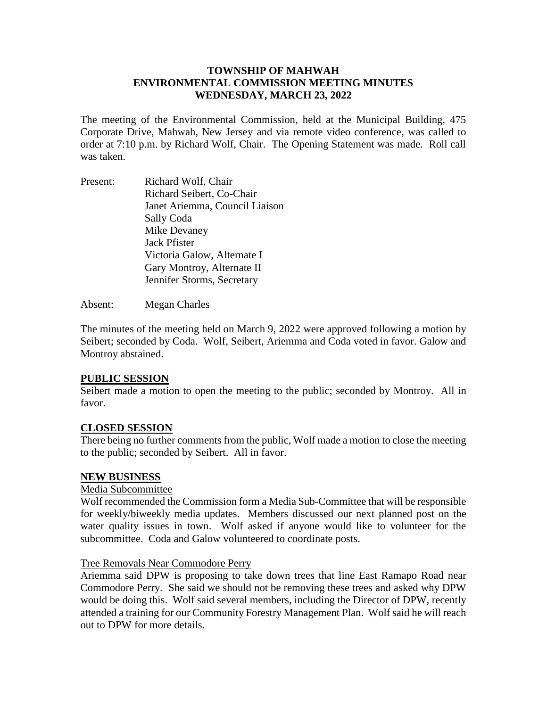## **TOWNSHIP OF MAHWAH ENVIRONMENTAL COMMISSION MEETING MINUTES WEDNESDAY, MARCH 23, 2022**

The meeting of the Environmental Commission, held at the Municipal Building, 475 Corporate Drive, Mahwah, New Jersey and via remote video conference, was called to order at 7:10 p.m. by Richard Wolf, Chair. The Opening Statement was made. Roll call was taken.

Present: Richard Wolf, Chair Richard Seibert, Co-Chair Janet Ariemma, Council Liaison Sally Coda Mike Devaney Jack Pfister Victoria Galow, Alternate I Gary Montroy, Alternate II Jennifer Storms, Secretary

Absent: Megan Charles

The minutes of the meeting held on March 9, 2022 were approved following a motion by Seibert; seconded by Coda. Wolf, Seibert, Ariemma and Coda voted in favor. Galow and Montroy abstained.

### **PUBLIC SESSION**

Seibert made a motion to open the meeting to the public; seconded by Montroy. All in favor.

### **CLOSED SESSION**

There being no further comments from the public, Wolf made a motion to close the meeting to the public; seconded by Seibert. All in favor.

### **NEW BUSINESS**

## Media Subcommittee

Wolf recommended the Commission form a Media Sub-Committee that will be responsible for weekly/biweekly media updates. Members discussed our next planned post on the water quality issues in town. Wolf asked if anyone would like to volunteer for the subcommittee. Coda and Galow volunteered to coordinate posts.

### Tree Removals Near Commodore Perry

Ariemma said DPW is proposing to take down trees that line East Ramapo Road near Commodore Perry. She said we should not be removing these trees and asked why DPW would be doing this. Wolf said several members, including the Director of DPW, recently attended a training for our Community Forestry Management Plan. Wolf said he will reach out to DPW for more details.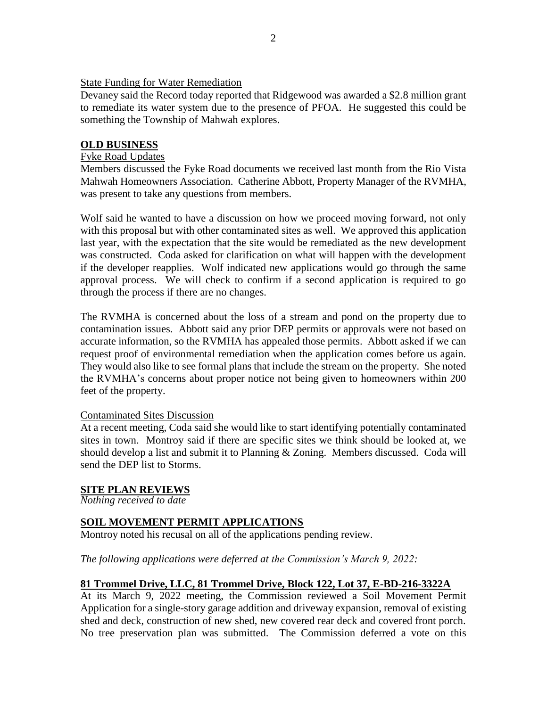### State Funding for Water Remediation

Devaney said the Record today reported that Ridgewood was awarded a \$2.8 million grant to remediate its water system due to the presence of PFOA. He suggested this could be something the Township of Mahwah explores.

#### **OLD BUSINESS**

#### Fyke Road Updates

Members discussed the Fyke Road documents we received last month from the Rio Vista Mahwah Homeowners Association. Catherine Abbott, Property Manager of the RVMHA, was present to take any questions from members.

Wolf said he wanted to have a discussion on how we proceed moving forward, not only with this proposal but with other contaminated sites as well. We approved this application last year, with the expectation that the site would be remediated as the new development was constructed. Coda asked for clarification on what will happen with the development if the developer reapplies. Wolf indicated new applications would go through the same approval process. We will check to confirm if a second application is required to go through the process if there are no changes.

The RVMHA is concerned about the loss of a stream and pond on the property due to contamination issues. Abbott said any prior DEP permits or approvals were not based on accurate information, so the RVMHA has appealed those permits. Abbott asked if we can request proof of environmental remediation when the application comes before us again. They would also like to see formal plans that include the stream on the property. She noted the RVMHA's concerns about proper notice not being given to homeowners within 200 feet of the property.

#### Contaminated Sites Discussion

At a recent meeting, Coda said she would like to start identifying potentially contaminated sites in town. Montroy said if there are specific sites we think should be looked at, we should develop a list and submit it to Planning & Zoning. Members discussed. Coda will send the DEP list to Storms.

### **SITE PLAN REVIEWS**

*Nothing received to date*

## **SOIL MOVEMENT PERMIT APPLICATIONS**

Montroy noted his recusal on all of the applications pending review.

*The following applications were deferred at the Commission's March 9, 2022:*

### **81 Trommel Drive, LLC, 81 Trommel Drive, Block 122, Lot 37, E-BD-216-3322A**

At its March 9, 2022 meeting, the Commission reviewed a Soil Movement Permit Application for a single-story garage addition and driveway expansion, removal of existing shed and deck, construction of new shed, new covered rear deck and covered front porch. No tree preservation plan was submitted. The Commission deferred a vote on this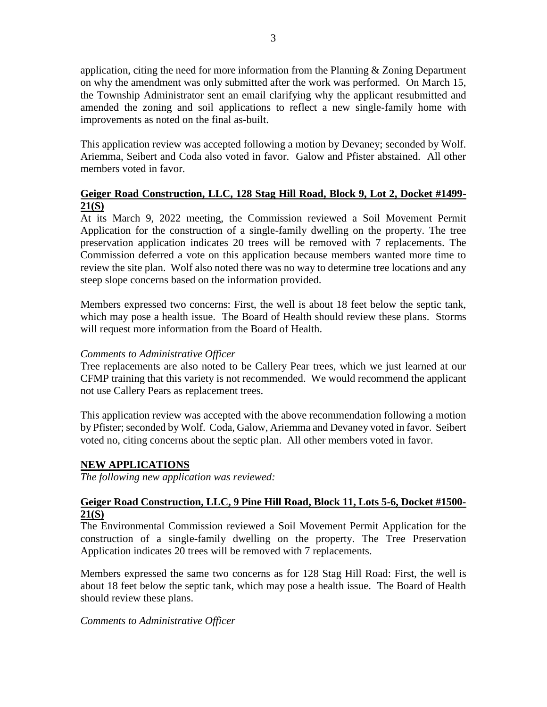application, citing the need for more information from the Planning  $&$  Zoning Department on why the amendment was only submitted after the work was performed. On March 15, the Township Administrator sent an email clarifying why the applicant resubmitted and amended the zoning and soil applications to reflect a new single-family home with improvements as noted on the final as-built.

This application review was accepted following a motion by Devaney; seconded by Wolf. Ariemma, Seibert and Coda also voted in favor. Galow and Pfister abstained. All other members voted in favor.

# **Geiger Road Construction, LLC, 128 Stag Hill Road, Block 9, Lot 2, Docket #1499- 21(S)**

At its March 9, 2022 meeting, the Commission reviewed a Soil Movement Permit Application for the construction of a single-family dwelling on the property. The tree preservation application indicates 20 trees will be removed with 7 replacements. The Commission deferred a vote on this application because members wanted more time to review the site plan. Wolf also noted there was no way to determine tree locations and any steep slope concerns based on the information provided.

Members expressed two concerns: First, the well is about 18 feet below the septic tank, which may pose a health issue. The Board of Health should review these plans. Storms will request more information from the Board of Health.

### *Comments to Administrative Officer*

Tree replacements are also noted to be Callery Pear trees, which we just learned at our CFMP training that this variety is not recommended. We would recommend the applicant not use Callery Pears as replacement trees.

This application review was accepted with the above recommendation following a motion by Pfister; seconded by Wolf. Coda, Galow, Ariemma and Devaney voted in favor. Seibert voted no, citing concerns about the septic plan. All other members voted in favor.

### **NEW APPLICATIONS**

*The following new application was reviewed:*

### **Geiger Road Construction, LLC, 9 Pine Hill Road, Block 11, Lots 5-6, Docket #1500- 21(S)**

The Environmental Commission reviewed a Soil Movement Permit Application for the construction of a single-family dwelling on the property. The Tree Preservation Application indicates 20 trees will be removed with 7 replacements.

Members expressed the same two concerns as for 128 Stag Hill Road: First, the well is about 18 feet below the septic tank, which may pose a health issue. The Board of Health should review these plans.

*Comments to Administrative Officer*